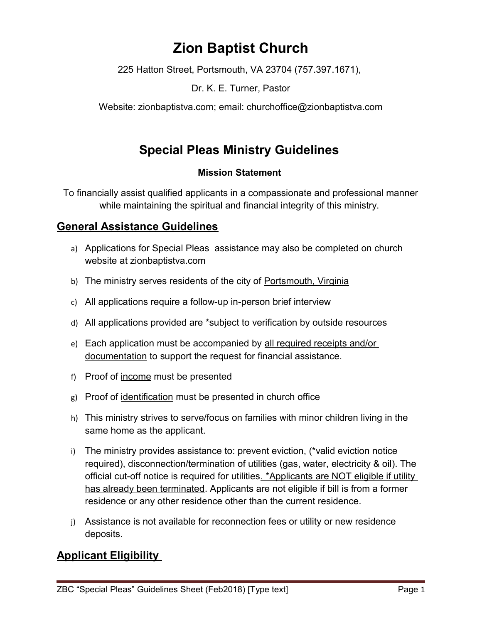# **Zion Baptist Church**

225 Hatton Street, Portsmouth, VA 23704 (757.397.1671),

Dr. K. E. Turner, Pastor

Website: zionbaptistva.com; email: churchoffice@zionbaptistva.com

# **Special Pleas Ministry Guidelines**

#### **Mission Statement**

To financially assist qualified applicants in a compassionate and professional manner while maintaining the spiritual and financial integrity of this ministry.

### **General Assistance Guidelines**

- a) Applications for Special Pleas assistance may also be completed on church website at zionbaptistva.com
- b) The ministry serves residents of the city of Portsmouth, Virginia
- c) All applications require a follow-up in-person brief interview
- d) All applications provided are \*subject to verification by outside resources
- e) Each application must be accompanied by all required receipts and/or documentation to support the request for financial assistance.
- f) Proof of income must be presented
- g) Proof of identification must be presented in church office
- h) This ministry strives to serve/focus on families with minor children living in the same home as the applicant.
- i) The ministry provides assistance to: prevent eviction, (\*valid eviction notice required), disconnection/termination of utilities (gas, water, electricity & oil). The official cut-off notice is required for utilities. \*Applicants are NOT eligible if utility has already been terminated. Applicants are not eligible if bill is from a former residence or any other residence other than the current residence.
- j) Assistance is not available for reconnection fees or utility or new residence deposits.

## **Applicant Eligibility**